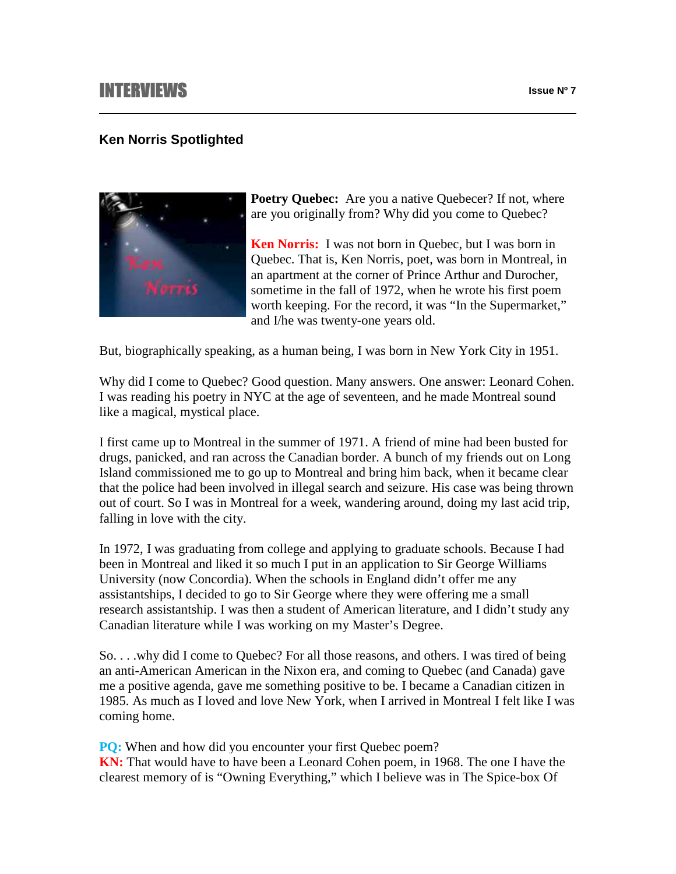## **INTERVIEWS** Issue N° 7

## **Ken Norris Spotlighted**



**Poetry Quebec:** Are you a native Quebecer? If not, where are you originally from? Why did you come to Quebec?

**Ken Norris:** I was not born in Quebec, but I was born in Quebec. That is, Ken Norris, poet, was born in Montreal, in an apartment at the corner of Prince Arthur and Durocher, sometime in the fall of 1972, when he wrote his first poem worth keeping. For the record, it was "In the Supermarket," and I/he was twenty-one years old.

But, biographically speaking, as a human being, I was born in New York City in 1951.

Why did I come to Quebec? Good question. Many answers. One answer: Leonard Cohen. I was reading his poetry in NYC at the age of seventeen, and he made Montreal sound like a magical, mystical place.

I first came up to Montreal in the summer of 1971. A friend of mine had been busted for drugs, panicked, and ran across the Canadian border. A bunch of my friends out on Long Island commissioned me to go up to Montreal and bring him back, when it became clear that the police had been involved in illegal search and seizure. His case was being thrown out of court. So I was in Montreal for a week, wandering around, doing my last acid trip, falling in love with the city.

In 1972, I was graduating from college and applying to graduate schools. Because I had been in Montreal and liked it so much I put in an application to Sir George Williams University (now Concordia). When the schools in England didn't offer me any assistantships, I decided to go to Sir George where they were offering me a small research assistantship. I was then a student of American literature, and I didn't study any Canadian literature while I was working on my Master's Degree.

So. . . .why did I come to Quebec? For all those reasons, and others. I was tired of being an anti-American American in the Nixon era, and coming to Quebec (and Canada) gave me a positive agenda, gave me something positive to be. I became a Canadian citizen in 1985. As much as I loved and love New York, when I arrived in Montreal I felt like I was coming home.

**PQ:** When and how did you encounter your first Quebec poem?

**KN:** That would have to have been a Leonard Cohen poem, in 1968. The one I have the clearest memory of is "Owning Everything," which I believe was in The Spice-box Of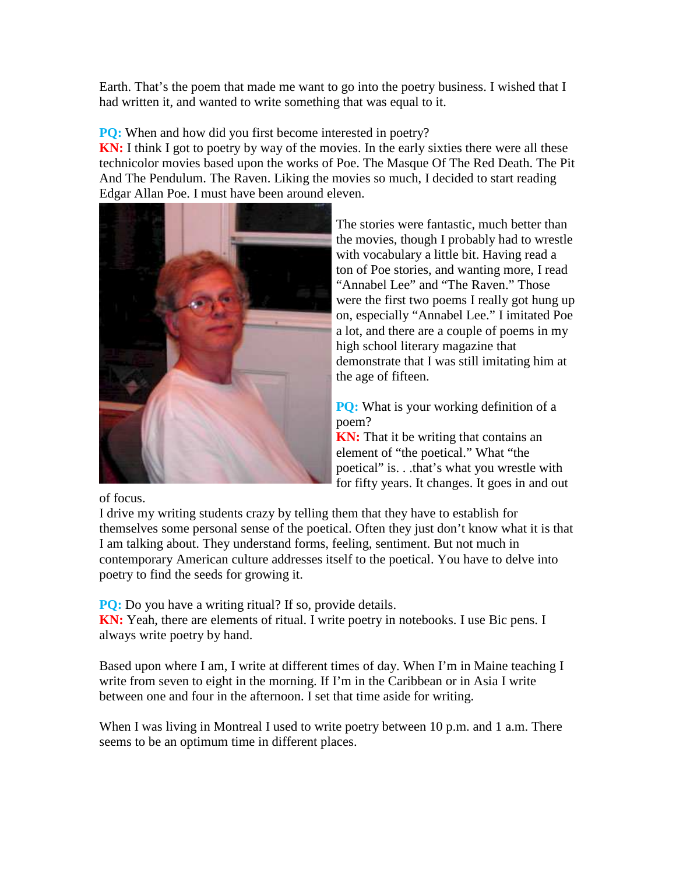Earth. That's the poem that made me want to go into the poetry business. I wished that I had written it, and wanted to write something that was equal to it.

**PQ:** When and how did you first become interested in poetry?

**KN:** I think I got to poetry by way of the movies. In the early sixties there were all these technicolor movies based upon the works of Poe. The Masque Of The Red Death. The Pit And The Pendulum. The Raven. Liking the movies so much, I decided to start reading Edgar Allan Poe. I must have been around eleven.



The stories were fantastic, much better than the movies, though I probably had to wrestle with vocabulary a little bit. Having read a ton of Poe stories, and wanting more, I read "Annabel Lee" and "The Raven." Those were the first two poems I really got hung up on, especially "Annabel Lee." I imitated Poe a lot, and there are a couple of poems in my high school literary magazine that demonstrate that I was still imitating him at the age of fifteen.

**PQ:** What is your working definition of a poem?

**KN:** That it be writing that contains an element of "the poetical." What "the poetical" is. . .that's what you wrestle with for fifty years. It changes. It goes in and out

of focus.

I drive my writing students crazy by telling them that they have to establish for themselves some personal sense of the poetical. Often they just don't know what it is that I am talking about. They understand forms, feeling, sentiment. But not much in contemporary American culture addresses itself to the poetical. You have to delve into poetry to find the seeds for growing it.

**PQ:** Do you have a writing ritual? If so, provide details.

**KN:** Yeah, there are elements of ritual. I write poetry in notebooks. I use Bic pens. I always write poetry by hand.

Based upon where I am, I write at different times of day. When I'm in Maine teaching I write from seven to eight in the morning. If I'm in the Caribbean or in Asia I write between one and four in the afternoon. I set that time aside for writing.

When I was living in Montreal I used to write poetry between 10 p.m. and 1 a.m. There seems to be an optimum time in different places.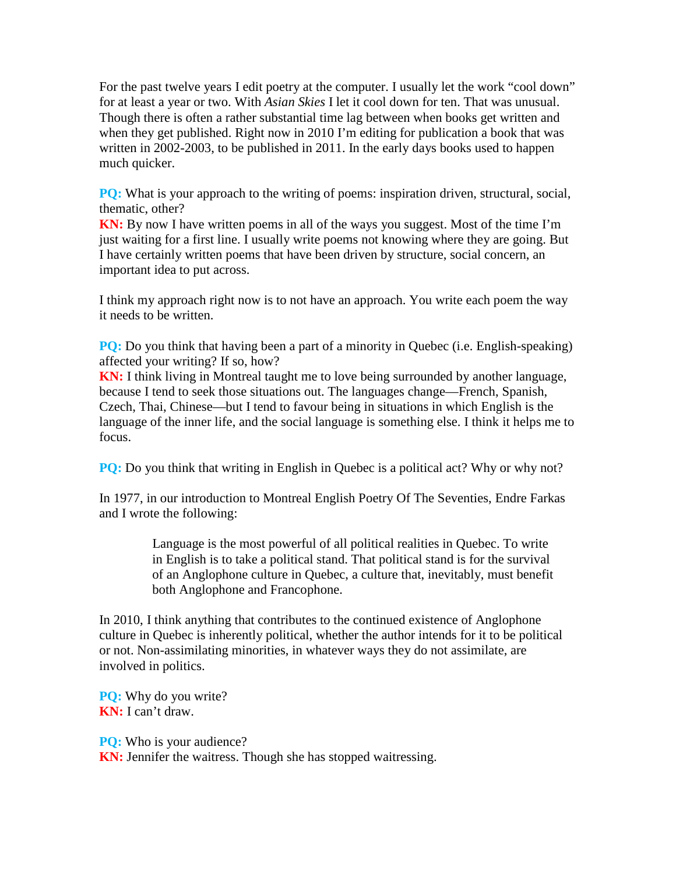For the past twelve years I edit poetry at the computer. I usually let the work "cool down" for at least a year or two. With *Asian Skies* I let it cool down for ten. That was unusual. Though there is often a rather substantial time lag between when books get written and when they get published. Right now in 2010 I'm editing for publication a book that was written in 2002-2003, to be published in 2011. In the early days books used to happen much quicker.

**PQ:** What is your approach to the writing of poems: inspiration driven, structural, social, thematic, other?

**KN:** By now I have written poems in all of the ways you suggest. Most of the time I'm just waiting for a first line. I usually write poems not knowing where they are going. But I have certainly written poems that have been driven by structure, social concern, an important idea to put across.

I think my approach right now is to not have an approach. You write each poem the way it needs to be written.

**PQ:** Do you think that having been a part of a minority in Quebec (i.e. English-speaking) affected your writing? If so, how?

**KN:** I think living in Montreal taught me to love being surrounded by another language, because I tend to seek those situations out. The languages change—French, Spanish, Czech, Thai, Chinese—but I tend to favour being in situations in which English is the language of the inner life, and the social language is something else. I think it helps me to focus.

**PQ:** Do you think that writing in English in Quebec is a political act? Why or why not?

In 1977, in our introduction to Montreal English Poetry Of The Seventies, Endre Farkas and I wrote the following:

> Language is the most powerful of all political realities in Quebec. To write in English is to take a political stand. That political stand is for the survival of an Anglophone culture in Quebec, a culture that, inevitably, must benefit both Anglophone and Francophone.

In 2010, I think anything that contributes to the continued existence of Anglophone culture in Quebec is inherently political, whether the author intends for it to be political or not. Non-assimilating minorities, in whatever ways they do not assimilate, are involved in politics.

**PQ:** Why do you write? **KN:** I can't draw.

**PO:** Who is your audience? **KN:** Jennifer the waitress. Though she has stopped waitressing.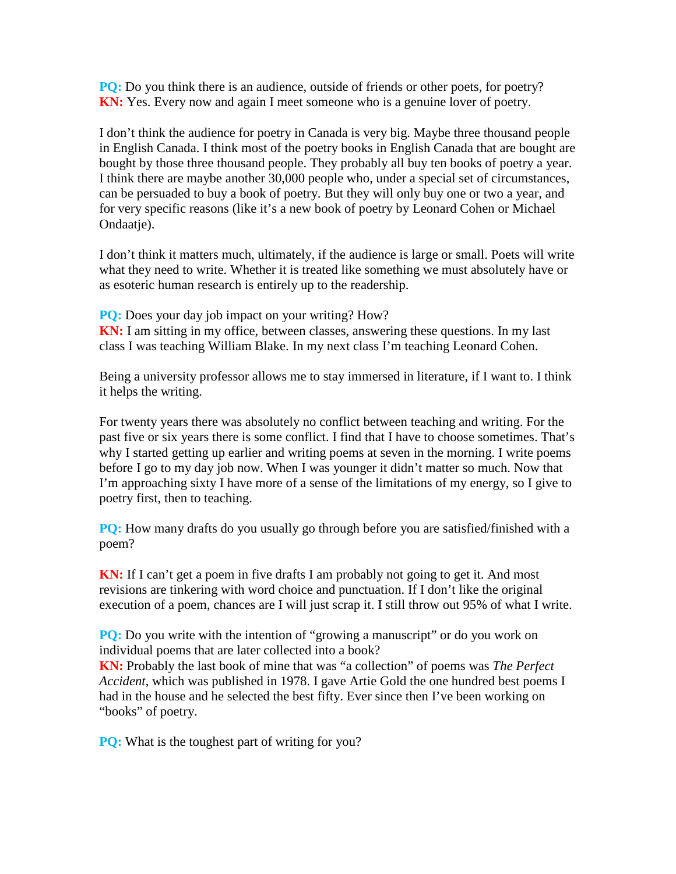**PQ:** Do you think there is an audience, outside of friends or other poets, for poetry? **KN:** Yes. Every now and again I meet someone who is a genuine lover of poetry.

I don't think the audience for poetry in Canada is very big. Maybe three thousand people in English Canada. I think most of the poetry books in English Canada that are bought are bought by those three thousand people. They probably all buy ten books of poetry a year. I think there are maybe another 30,000 people who, under a special set of circumstances, can be persuaded to buy a book of poetry. But they will only buy one or two a year, and for very specific reasons (like it's a new book of poetry by Leonard Cohen or Michael Ondaatje).

I don't think it matters much, ultimately, if the audience is large or small. Poets will write what they need to write. Whether it is treated like something we must absolutely have or as esoteric human research is entirely up to the readership.

**PQ:** Does your day job impact on your writing? How?

**KN:** I am sitting in my office, between classes, answering these questions. In my last class I was teaching William Blake. In my next class I'm teaching Leonard Cohen.

Being a university professor allows me to stay immersed in literature, if I want to. I think it helps the writing.

For twenty years there was absolutely no conflict between teaching and writing. For the past five or six years there is some conflict. I find that I have to choose sometimes. That's why I started getting up earlier and writing poems at seven in the morning. I write poems before I go to my day job now. When I was younger it didn't matter so much. Now that I'm approaching sixty I have more of a sense of the limitations of my energy, so I give to poetry first, then to teaching.

**PQ:** How many drafts do you usually go through before you are satisfied/finished with a poem?

**KN:** If I can't get a poem in five drafts I am probably not going to get it. And most revisions are tinkering with word choice and punctuation. If I don't like the original execution of a poem, chances are I will just scrap it. I still throw out 95% of what I write.

**PQ:** Do you write with the intention of "growing a manuscript" or do you work on individual poems that are later collected into a book?

**KN:** Probably the last book of mine that was "a collection" of poems was *The Perfect Accident*, which was published in 1978. I gave Artie Gold the one hundred best poems I had in the house and he selected the best fifty. Ever since then I've been working on "books" of poetry.

**PQ:** What is the toughest part of writing for you?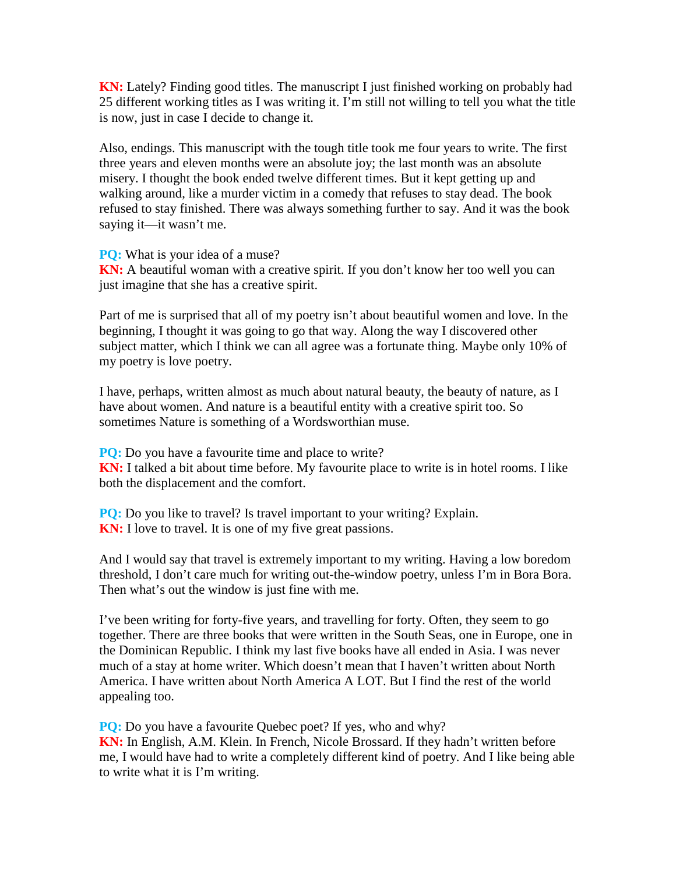**KN:** Lately? Finding good titles. The manuscript I just finished working on probably had 25 different working titles as I was writing it. I'm still not willing to tell you what the title is now, just in case I decide to change it.

Also, endings. This manuscript with the tough title took me four years to write. The first three years and eleven months were an absolute joy; the last month was an absolute misery. I thought the book ended twelve different times. But it kept getting up and walking around, like a murder victim in a comedy that refuses to stay dead. The book refused to stay finished. There was always something further to say. And it was the book saying it—it wasn't me.

**PQ:** What is your idea of a muse?

**KN:** A beautiful woman with a creative spirit. If you don't know her too well you can just imagine that she has a creative spirit.

Part of me is surprised that all of my poetry isn't about beautiful women and love. In the beginning, I thought it was going to go that way. Along the way I discovered other subject matter, which I think we can all agree was a fortunate thing. Maybe only 10% of my poetry is love poetry.

I have, perhaps, written almost as much about natural beauty, the beauty of nature, as I have about women. And nature is a beautiful entity with a creative spirit too. So sometimes Nature is something of a Wordsworthian muse.

**PQ:** Do you have a favourite time and place to write?

**KN:** I talked a bit about time before. My favourite place to write is in hotel rooms. I like both the displacement and the comfort.

**PQ:** Do you like to travel? Is travel important to your writing? Explain. **KN:** I love to travel. It is one of my five great passions.

And I would say that travel is extremely important to my writing. Having a low boredom threshold, I don't care much for writing out-the-window poetry, unless I'm in Bora Bora. Then what's out the window is just fine with me.

I've been writing for forty-five years, and travelling for forty. Often, they seem to go together. There are three books that were written in the South Seas, one in Europe, one in the Dominican Republic. I think my last five books have all ended in Asia. I was never much of a stay at home writer. Which doesn't mean that I haven't written about North America. I have written about North America A LOT. But I find the rest of the world appealing too.

**PQ:** Do you have a favourite Quebec poet? If yes, who and why? **KN:** In English, A.M. Klein. In French, Nicole Brossard. If they hadn't written before me, I would have had to write a completely different kind of poetry. And I like being able to write what it is I'm writing.